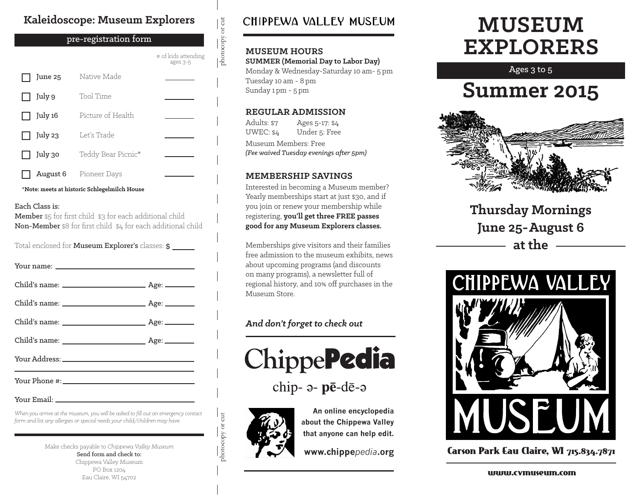#### **Kaleidoscope: Museum Explorers**

#### June 25 July 9 July 16 July 23 July 30 August 6 Native Made Tool Time Picture of Health Let's Trade Teddy Bear Picnic\* Pioneer Days # of kids attending ages 3-5 pre-registration form

**\*Note: meets at historic Schlegelmilch House**

#### Each Class is:

Member \$5 for first child \$3 for each additional child Non-Member \$8 for first child \$4 for each additional child

Total enclosed for Museum Explorer's classes: \$

Your Email:

*When you arrive at the museum, you will be asked to fill out an emergency contact form and list any allergies or special needs your child/children may have.*

> Make checks payable to *Chippewa Valley Museum* Send form and check to: Chippewa Valley Museum PO Box 1204 Eau Claire, WI 54702

### CHIPPEWA VALLEY MUSEUM

#### **MUSEUM HOURS**

photocopy or cut

 $\frac{1}{\text{photocopy or cut}}$ 

**SUMMER (Memorial Day to Labor Day)** Monday & Wednesday-Saturday 10 am- 5 pm Tuesday 10 am - 8 pm Sunday 1 pm - 5 pm

#### **REGULAR ADMISSION**

Adults: \$7 UWEC: \$4 Ages 5-17: \$4 Under 5: Free Museum Members: Free *(Fee waived Tuesday evenings after 5pm)*

#### **MEMBERSHIP SAVINGS**

Interested in becoming a Museum member? Yearly memberships start at just \$30, and if you join or renew your membership while registering, **you'll get three FREE passes good for any Museum Explorers classes.**

Memberships give visitors and their families free admission to the museum exhibits, news about upcoming programs (and discounts on many programs), a newsletter full of regional history, and 10% off purchases in the Museum Store.

#### *And don't forget to check out*



chip- a- pē-dē-a



photocopy or cut

photocopy or cut

**An online encyclopedia about the Chippewa Valley that anyone can help edit.**

**www.chippe***pedia***.org**

# **MUSEUM EXPLORERS**

Ages 3 to 5

## **Summer 2015**



**Thursday Mornings June 25-August 6 at the**



Carson Park Eau Claire, WI 715.834.7871